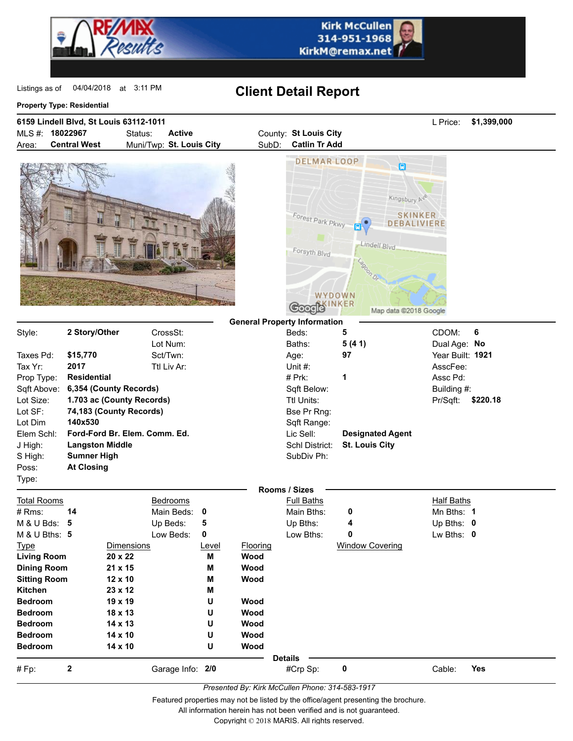

| MLS#: 18022967<br><b>Active</b><br>County: St Louis City<br>Status:<br>Muni/Twp: St. Louis City<br><b>Catlin Tr Add</b><br><b>Central West</b><br>SubD:<br>Area:<br><b>DELMAR LOOP</b><br>Θ<br>Kingsbury Ave<br><b>SKINKER</b><br>Forest Park Pkwy -<br>DEBALIVIERE<br>Е<br>Lindell Blvd<br>Forsyth Blvd<br>Lagoon Dr.<br>WYDOWN<br>Soogle INKER<br>Map data @2018 Google<br><b>General Property Information</b><br>Style:<br>2 Story/Other<br>CDOM:<br>6<br>CrossSt:<br>Beds:<br>5<br>Lot Num:<br>Baths:<br>5(41)<br>Dual Age: No<br>\$15,770<br>Sct/Twn:<br>97<br>Year Built: 1921<br>Taxes Pd:<br>Age:<br>Tax Yr:<br>2017<br>Ttl Liv Ar:<br>Unit $#$ :<br>AsscFee:<br># Prk:<br>1<br>Prop Type:<br><b>Residential</b><br>Assc Pd:<br>Sqft Above:<br>6,354 (County Records)<br>Sqft Below:<br>Building #:<br>Lot Size:<br>1.703 ac (County Records)<br>Ttl Units:<br>Pr/Sqft:<br>\$220.18<br>Lot SF:<br>74,183 (County Records)<br>Bse Pr Rng:<br>Lot Dim<br>140x530<br>Sqft Range:<br>Ford-Ford Br. Elem. Comm. Ed.<br>Lic Sell:<br>Elem Schl:<br><b>Designated Agent</b><br>J High:<br><b>Langston Middle</b><br>Schl District:<br><b>St. Louis City</b><br>S High:<br><b>Sumner High</b><br>SubDiv Ph:<br>Poss:<br><b>At Closing</b><br>Type:<br>Rooms / Sizes<br><b>Total Rooms</b><br><b>Full Baths</b><br><b>Half Baths</b><br><b>Bedrooms</b><br># Rms:<br>14<br>Main Beds:<br>Main Bths:<br>Mn Bths: 1<br>$\mathbf 0$<br>0<br>M & U Bds: 5<br>Up Beds:<br>5<br>Up Bths:<br>Up Bths: 0<br>4<br>M & U Bths: 5<br>Low Beds:<br>0<br>Low Bths:<br>0<br>Lw Bths: 0<br><b>Window Covering</b><br><b>Type</b><br><b>Dimensions</b><br><b>Flooring</b><br>Level<br><b>Living Room</b><br>20 x 22<br>M<br>Wood<br>21 x 15<br>Wood<br><b>Dining Room</b><br>M<br>12 x 10<br>Wood<br><b>Sitting Room</b><br>M<br>Kitchen<br>23 x 12<br>M<br><b>Bedroom</b><br>19 x 19<br>U<br>Wood<br>18 x 13<br><b>Bedroom</b><br>U<br>Wood<br>14 x 13<br>Wood<br><b>Bedroom</b><br>U<br>14 x 10<br>Wood<br><b>Bedroom</b><br>U<br><b>Bedroom</b><br>14 x 10<br>U<br>Wood<br><b>Details</b><br>Yes<br>2<br>Garage Info: 2/0<br>#Crp Sp:<br>0<br>Cable:<br>$# Fp$ : | 6159 Lindell Blvd, St Louis 63112-1011 |  |  |  |  |  |  |  | L Price: | \$1,399,000 |
|----------------------------------------------------------------------------------------------------------------------------------------------------------------------------------------------------------------------------------------------------------------------------------------------------------------------------------------------------------------------------------------------------------------------------------------------------------------------------------------------------------------------------------------------------------------------------------------------------------------------------------------------------------------------------------------------------------------------------------------------------------------------------------------------------------------------------------------------------------------------------------------------------------------------------------------------------------------------------------------------------------------------------------------------------------------------------------------------------------------------------------------------------------------------------------------------------------------------------------------------------------------------------------------------------------------------------------------------------------------------------------------------------------------------------------------------------------------------------------------------------------------------------------------------------------------------------------------------------------------------------------------------------------------------------------------------------------------------------------------------------------------------------------------------------------------------------------------------------------------------------------------------------------------------------------------------------------------------------------------------------------------------------------------------------------------------------------------------------------------------------------------------------|----------------------------------------|--|--|--|--|--|--|--|----------|-------------|
|                                                                                                                                                                                                                                                                                                                                                                                                                                                                                                                                                                                                                                                                                                                                                                                                                                                                                                                                                                                                                                                                                                                                                                                                                                                                                                                                                                                                                                                                                                                                                                                                                                                                                                                                                                                                                                                                                                                                                                                                                                                                                                                                                    |                                        |  |  |  |  |  |  |  |          |             |
|                                                                                                                                                                                                                                                                                                                                                                                                                                                                                                                                                                                                                                                                                                                                                                                                                                                                                                                                                                                                                                                                                                                                                                                                                                                                                                                                                                                                                                                                                                                                                                                                                                                                                                                                                                                                                                                                                                                                                                                                                                                                                                                                                    |                                        |  |  |  |  |  |  |  |          |             |
|                                                                                                                                                                                                                                                                                                                                                                                                                                                                                                                                                                                                                                                                                                                                                                                                                                                                                                                                                                                                                                                                                                                                                                                                                                                                                                                                                                                                                                                                                                                                                                                                                                                                                                                                                                                                                                                                                                                                                                                                                                                                                                                                                    |                                        |  |  |  |  |  |  |  |          |             |
|                                                                                                                                                                                                                                                                                                                                                                                                                                                                                                                                                                                                                                                                                                                                                                                                                                                                                                                                                                                                                                                                                                                                                                                                                                                                                                                                                                                                                                                                                                                                                                                                                                                                                                                                                                                                                                                                                                                                                                                                                                                                                                                                                    |                                        |  |  |  |  |  |  |  |          |             |
|                                                                                                                                                                                                                                                                                                                                                                                                                                                                                                                                                                                                                                                                                                                                                                                                                                                                                                                                                                                                                                                                                                                                                                                                                                                                                                                                                                                                                                                                                                                                                                                                                                                                                                                                                                                                                                                                                                                                                                                                                                                                                                                                                    |                                        |  |  |  |  |  |  |  |          |             |
|                                                                                                                                                                                                                                                                                                                                                                                                                                                                                                                                                                                                                                                                                                                                                                                                                                                                                                                                                                                                                                                                                                                                                                                                                                                                                                                                                                                                                                                                                                                                                                                                                                                                                                                                                                                                                                                                                                                                                                                                                                                                                                                                                    |                                        |  |  |  |  |  |  |  |          |             |
|                                                                                                                                                                                                                                                                                                                                                                                                                                                                                                                                                                                                                                                                                                                                                                                                                                                                                                                                                                                                                                                                                                                                                                                                                                                                                                                                                                                                                                                                                                                                                                                                                                                                                                                                                                                                                                                                                                                                                                                                                                                                                                                                                    |                                        |  |  |  |  |  |  |  |          |             |
|                                                                                                                                                                                                                                                                                                                                                                                                                                                                                                                                                                                                                                                                                                                                                                                                                                                                                                                                                                                                                                                                                                                                                                                                                                                                                                                                                                                                                                                                                                                                                                                                                                                                                                                                                                                                                                                                                                                                                                                                                                                                                                                                                    |                                        |  |  |  |  |  |  |  |          |             |
|                                                                                                                                                                                                                                                                                                                                                                                                                                                                                                                                                                                                                                                                                                                                                                                                                                                                                                                                                                                                                                                                                                                                                                                                                                                                                                                                                                                                                                                                                                                                                                                                                                                                                                                                                                                                                                                                                                                                                                                                                                                                                                                                                    |                                        |  |  |  |  |  |  |  |          |             |
|                                                                                                                                                                                                                                                                                                                                                                                                                                                                                                                                                                                                                                                                                                                                                                                                                                                                                                                                                                                                                                                                                                                                                                                                                                                                                                                                                                                                                                                                                                                                                                                                                                                                                                                                                                                                                                                                                                                                                                                                                                                                                                                                                    |                                        |  |  |  |  |  |  |  |          |             |
|                                                                                                                                                                                                                                                                                                                                                                                                                                                                                                                                                                                                                                                                                                                                                                                                                                                                                                                                                                                                                                                                                                                                                                                                                                                                                                                                                                                                                                                                                                                                                                                                                                                                                                                                                                                                                                                                                                                                                                                                                                                                                                                                                    |                                        |  |  |  |  |  |  |  |          |             |
|                                                                                                                                                                                                                                                                                                                                                                                                                                                                                                                                                                                                                                                                                                                                                                                                                                                                                                                                                                                                                                                                                                                                                                                                                                                                                                                                                                                                                                                                                                                                                                                                                                                                                                                                                                                                                                                                                                                                                                                                                                                                                                                                                    |                                        |  |  |  |  |  |  |  |          |             |
|                                                                                                                                                                                                                                                                                                                                                                                                                                                                                                                                                                                                                                                                                                                                                                                                                                                                                                                                                                                                                                                                                                                                                                                                                                                                                                                                                                                                                                                                                                                                                                                                                                                                                                                                                                                                                                                                                                                                                                                                                                                                                                                                                    |                                        |  |  |  |  |  |  |  |          |             |
|                                                                                                                                                                                                                                                                                                                                                                                                                                                                                                                                                                                                                                                                                                                                                                                                                                                                                                                                                                                                                                                                                                                                                                                                                                                                                                                                                                                                                                                                                                                                                                                                                                                                                                                                                                                                                                                                                                                                                                                                                                                                                                                                                    |                                        |  |  |  |  |  |  |  |          |             |
|                                                                                                                                                                                                                                                                                                                                                                                                                                                                                                                                                                                                                                                                                                                                                                                                                                                                                                                                                                                                                                                                                                                                                                                                                                                                                                                                                                                                                                                                                                                                                                                                                                                                                                                                                                                                                                                                                                                                                                                                                                                                                                                                                    |                                        |  |  |  |  |  |  |  |          |             |
|                                                                                                                                                                                                                                                                                                                                                                                                                                                                                                                                                                                                                                                                                                                                                                                                                                                                                                                                                                                                                                                                                                                                                                                                                                                                                                                                                                                                                                                                                                                                                                                                                                                                                                                                                                                                                                                                                                                                                                                                                                                                                                                                                    |                                        |  |  |  |  |  |  |  |          |             |
|                                                                                                                                                                                                                                                                                                                                                                                                                                                                                                                                                                                                                                                                                                                                                                                                                                                                                                                                                                                                                                                                                                                                                                                                                                                                                                                                                                                                                                                                                                                                                                                                                                                                                                                                                                                                                                                                                                                                                                                                                                                                                                                                                    |                                        |  |  |  |  |  |  |  |          |             |
|                                                                                                                                                                                                                                                                                                                                                                                                                                                                                                                                                                                                                                                                                                                                                                                                                                                                                                                                                                                                                                                                                                                                                                                                                                                                                                                                                                                                                                                                                                                                                                                                                                                                                                                                                                                                                                                                                                                                                                                                                                                                                                                                                    |                                        |  |  |  |  |  |  |  |          |             |
|                                                                                                                                                                                                                                                                                                                                                                                                                                                                                                                                                                                                                                                                                                                                                                                                                                                                                                                                                                                                                                                                                                                                                                                                                                                                                                                                                                                                                                                                                                                                                                                                                                                                                                                                                                                                                                                                                                                                                                                                                                                                                                                                                    |                                        |  |  |  |  |  |  |  |          |             |
|                                                                                                                                                                                                                                                                                                                                                                                                                                                                                                                                                                                                                                                                                                                                                                                                                                                                                                                                                                                                                                                                                                                                                                                                                                                                                                                                                                                                                                                                                                                                                                                                                                                                                                                                                                                                                                                                                                                                                                                                                                                                                                                                                    |                                        |  |  |  |  |  |  |  |          |             |
|                                                                                                                                                                                                                                                                                                                                                                                                                                                                                                                                                                                                                                                                                                                                                                                                                                                                                                                                                                                                                                                                                                                                                                                                                                                                                                                                                                                                                                                                                                                                                                                                                                                                                                                                                                                                                                                                                                                                                                                                                                                                                                                                                    |                                        |  |  |  |  |  |  |  |          |             |
|                                                                                                                                                                                                                                                                                                                                                                                                                                                                                                                                                                                                                                                                                                                                                                                                                                                                                                                                                                                                                                                                                                                                                                                                                                                                                                                                                                                                                                                                                                                                                                                                                                                                                                                                                                                                                                                                                                                                                                                                                                                                                                                                                    |                                        |  |  |  |  |  |  |  |          |             |
|                                                                                                                                                                                                                                                                                                                                                                                                                                                                                                                                                                                                                                                                                                                                                                                                                                                                                                                                                                                                                                                                                                                                                                                                                                                                                                                                                                                                                                                                                                                                                                                                                                                                                                                                                                                                                                                                                                                                                                                                                                                                                                                                                    |                                        |  |  |  |  |  |  |  |          |             |
|                                                                                                                                                                                                                                                                                                                                                                                                                                                                                                                                                                                                                                                                                                                                                                                                                                                                                                                                                                                                                                                                                                                                                                                                                                                                                                                                                                                                                                                                                                                                                                                                                                                                                                                                                                                                                                                                                                                                                                                                                                                                                                                                                    |                                        |  |  |  |  |  |  |  |          |             |
|                                                                                                                                                                                                                                                                                                                                                                                                                                                                                                                                                                                                                                                                                                                                                                                                                                                                                                                                                                                                                                                                                                                                                                                                                                                                                                                                                                                                                                                                                                                                                                                                                                                                                                                                                                                                                                                                                                                                                                                                                                                                                                                                                    |                                        |  |  |  |  |  |  |  |          |             |
|                                                                                                                                                                                                                                                                                                                                                                                                                                                                                                                                                                                                                                                                                                                                                                                                                                                                                                                                                                                                                                                                                                                                                                                                                                                                                                                                                                                                                                                                                                                                                                                                                                                                                                                                                                                                                                                                                                                                                                                                                                                                                                                                                    |                                        |  |  |  |  |  |  |  |          |             |
|                                                                                                                                                                                                                                                                                                                                                                                                                                                                                                                                                                                                                                                                                                                                                                                                                                                                                                                                                                                                                                                                                                                                                                                                                                                                                                                                                                                                                                                                                                                                                                                                                                                                                                                                                                                                                                                                                                                                                                                                                                                                                                                                                    |                                        |  |  |  |  |  |  |  |          |             |
|                                                                                                                                                                                                                                                                                                                                                                                                                                                                                                                                                                                                                                                                                                                                                                                                                                                                                                                                                                                                                                                                                                                                                                                                                                                                                                                                                                                                                                                                                                                                                                                                                                                                                                                                                                                                                                                                                                                                                                                                                                                                                                                                                    |                                        |  |  |  |  |  |  |  |          |             |
|                                                                                                                                                                                                                                                                                                                                                                                                                                                                                                                                                                                                                                                                                                                                                                                                                                                                                                                                                                                                                                                                                                                                                                                                                                                                                                                                                                                                                                                                                                                                                                                                                                                                                                                                                                                                                                                                                                                                                                                                                                                                                                                                                    |                                        |  |  |  |  |  |  |  |          |             |
|                                                                                                                                                                                                                                                                                                                                                                                                                                                                                                                                                                                                                                                                                                                                                                                                                                                                                                                                                                                                                                                                                                                                                                                                                                                                                                                                                                                                                                                                                                                                                                                                                                                                                                                                                                                                                                                                                                                                                                                                                                                                                                                                                    |                                        |  |  |  |  |  |  |  |          |             |
|                                                                                                                                                                                                                                                                                                                                                                                                                                                                                                                                                                                                                                                                                                                                                                                                                                                                                                                                                                                                                                                                                                                                                                                                                                                                                                                                                                                                                                                                                                                                                                                                                                                                                                                                                                                                                                                                                                                                                                                                                                                                                                                                                    |                                        |  |  |  |  |  |  |  |          |             |
|                                                                                                                                                                                                                                                                                                                                                                                                                                                                                                                                                                                                                                                                                                                                                                                                                                                                                                                                                                                                                                                                                                                                                                                                                                                                                                                                                                                                                                                                                                                                                                                                                                                                                                                                                                                                                                                                                                                                                                                                                                                                                                                                                    |                                        |  |  |  |  |  |  |  |          |             |
|                                                                                                                                                                                                                                                                                                                                                                                                                                                                                                                                                                                                                                                                                                                                                                                                                                                                                                                                                                                                                                                                                                                                                                                                                                                                                                                                                                                                                                                                                                                                                                                                                                                                                                                                                                                                                                                                                                                                                                                                                                                                                                                                                    |                                        |  |  |  |  |  |  |  |          |             |

*Presented By: Kirk McCullen Phone: 314-583-1917*

Featured properties may not be listed by the office/agent presenting the brochure.

All information herein has not been verified and is not guaranteed.

Copyright © 2018 MARIS. All rights reserved.